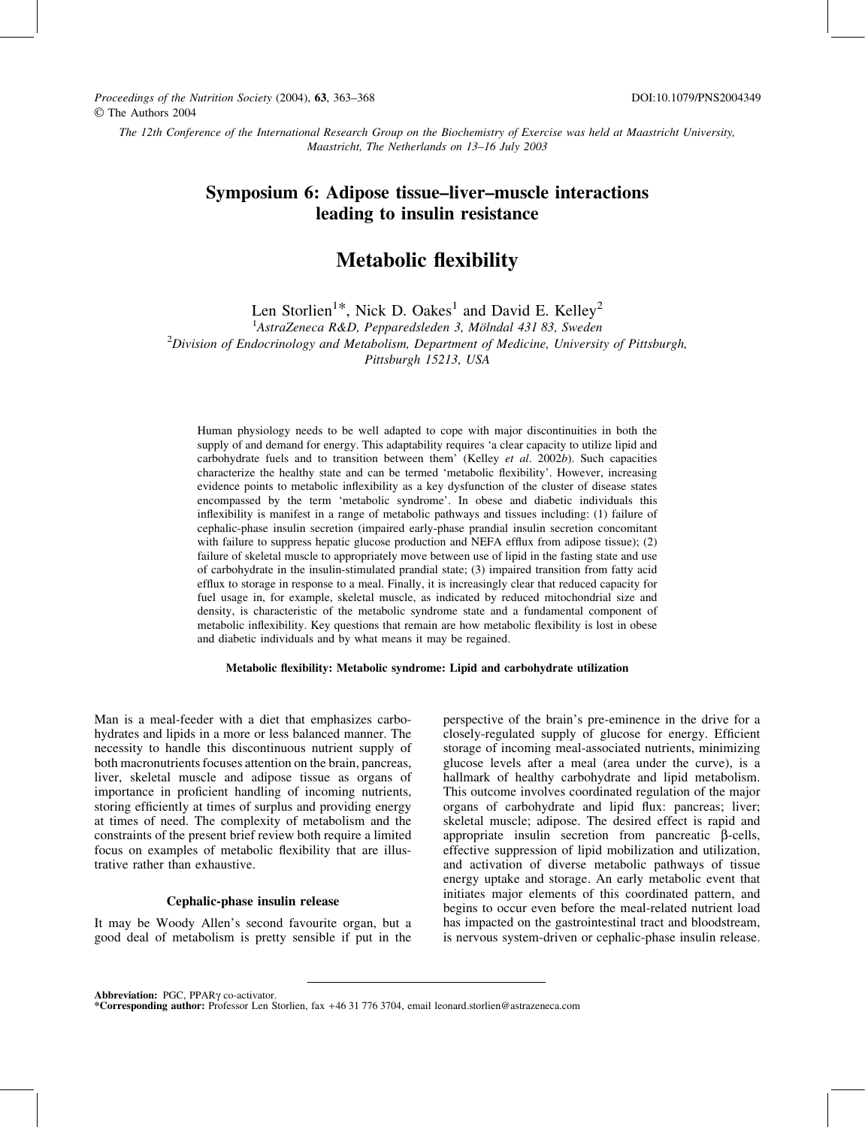Proceedings of the Nutrition Society (2004), 63, 363–368 DOI:10.1079/PNS2004349  $© The Authors 2004$ 

The 12th Conference of the International Research Group on the Biochemistry of Exercise was held at Maastricht University, Maastricht, The Netherlands on 13–16 July 2003

## Symposium 6: Adipose tissue–liver–muscle interactions leading to insulin resistance

# Metabolic flexibility

Len Storlien<sup>1\*</sup>, Nick D. Oakes<sup>1</sup> and David E. Kelley<sup>2</sup>

<sup>1</sup> AstraZeneca R&D, Pepparedsleden 3, Mölndal 431 83, Sweden<br><sup>2</sup> Division of Endocrinelogy and Matebolism, Department of Medicine, University  $<sup>2</sup> Division of Endocrinology and Metabolism, Department of Medicine, University of Pittsburgh,$ </sup> Pittsburgh 15213, USA

Human physiology needs to be well adapted to cope with major discontinuities in both the supply of and demand for energy. This adaptability requires 'a clear capacity to utilize lipid and carbohydrate fuels and to transition between them' (Kelley et al. 2002b). Such capacities characterize the healthy state and can be termed 'metabolic flexibility'. However, increasing evidence points to metabolic inflexibility as a key dysfunction of the cluster of disease states encompassed by the term 'metabolic syndrome'. In obese and diabetic individuals this inflexibility is manifest in a range of metabolic pathways and tissues including: (1) failure of cephalic-phase insulin secretion (impaired early-phase prandial insulin secretion concomitant with failure to suppress hepatic glucose production and NEFA efflux from adipose tissue); (2) failure of skeletal muscle to appropriately move between use of lipid in the fasting state and use of carbohydrate in the insulin-stimulated prandial state; (3) impaired transition from fatty acid efflux to storage in response to a meal. Finally, it is increasingly clear that reduced capacity for fuel usage in, for example, skeletal muscle, as indicated by reduced mitochondrial size and density, is characteristic of the metabolic syndrome state and a fundamental component of metabolic inflexibility. Key questions that remain are how metabolic flexibility is lost in obese and diabetic individuals and by what means it may be regained.

Metabolic flexibility: Metabolic syndrome: Lipid and carbohydrate utilization

Man is a meal-feeder with a diet that emphasizes carbohydrates and lipids in a more or less balanced manner. The necessity to handle this discontinuous nutrient supply of both macronutrients focuses attention on the brain, pancreas, liver, skeletal muscle and adipose tissue as organs of importance in proficient handling of incoming nutrients, storing efficiently at times of surplus and providing energy at times of need. The complexity of metabolism and the constraints of the present brief review both require a limited focus on examples of metabolic flexibility that are illustrative rather than exhaustive.

## Cephalic-phase insulin release

It may be Woody Allen's second favourite organ, but a good deal of metabolism is pretty sensible if put in the perspective of the brain's pre-eminence in the drive for a closely-regulated supply of glucose for energy. Efficient storage of incoming meal-associated nutrients, minimizing glucose levels after a meal (area under the curve), is a hallmark of healthy carbohydrate and lipid metabolism. This outcome involves coordinated regulation of the major organs of carbohydrate and lipid flux: pancreas; liver; skeletal muscle; adipose. The desired effect is rapid and appropriate insulin secretion from pancreatic  $\beta$ -cells, effective suppression of lipid mobilization and utilization, and activation of diverse metabolic pathways of tissue energy uptake and storage. An early metabolic event that initiates major elements of this coordinated pattern, and begins to occur even before the meal-related nutrient load has impacted on the gastrointestinal tract and bloodstream, is nervous system-driven or cephalic-phase insulin release.

Abbreviation: PGC, PPARy co-activator.

\*Corresponding author: Professor Len Storlien, fax +46 31 776 3704, email leonard.storlien@astrazeneca.com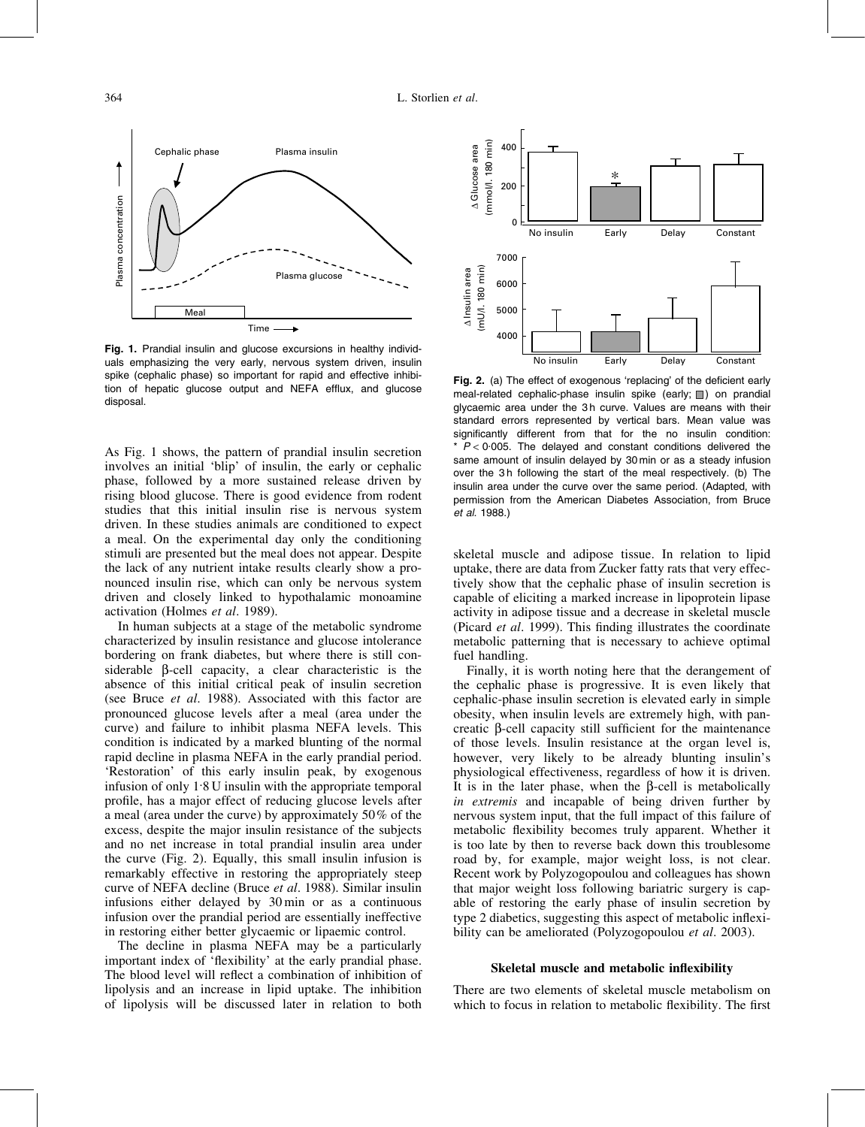

Fig. 1. Prandial insulin and glucose excursions in healthy individuals emphasizing the very early, nervous system driven, insulin spike (cephalic phase) so important for rapid and effective inhibition of hepatic glucose output and NEFA efflux, and glucose disposal.

As Fig. 1 shows, the pattern of prandial insulin secretion involves an initial 'blip' of insulin, the early or cephalic phase, followed by a more sustained release driven by rising blood glucose. There is good evidence from rodent studies that this initial insulin rise is nervous system driven. In these studies animals are conditioned to expect a meal. On the experimental day only the conditioning stimuli are presented but the meal does not appear. Despite the lack of any nutrient intake results clearly show a pronounced insulin rise, which can only be nervous system driven and closely linked to hypothalamic monoamine activation (Holmes et al. 1989).

In human subjects at a stage of the metabolic syndrome characterized by insulin resistance and glucose intolerance bordering on frank diabetes, but where there is still considerable  $\beta$ -cell capacity, a clear characteristic is the absence of this initial critical peak of insulin secretion (see Bruce et al. 1988). Associated with this factor are pronounced glucose levels after a meal (area under the curve) and failure to inhibit plasma NEFA levels. This condition is indicated by a marked blunting of the normal rapid decline in plasma NEFA in the early prandial period. 'Restoration' of this early insulin peak, by exogenous infusion of only 1. 8 U insulin with the appropriate temporal profile, has a major effect of reducing glucose levels after a meal (area under the curve) by approximately 50% of the excess, despite the major insulin resistance of the subjects and no net increase in total prandial insulin area under the curve (Fig. 2). Equally, this small insulin infusion is remarkably effective in restoring the appropriately steep curve of NEFA decline (Bruce et al. 1988). Similar insulin infusions either delayed by 30 min or as a continuous infusion over the prandial period are essentially ineffective in restoring either better glycaemic or lipaemic control.

The decline in plasma NEFA may be a particularly important index of 'flexibility' at the early prandial phase. The blood level will reflect a combination of inhibition of lipolysis and an increase in lipid uptake. The inhibition of lipolysis will be discussed later in relation to both



Fig. 2. (a) The effect of exogenous 'replacing' of the deficient early meal-related cephalic-phase insulin spike (early;  $\Box$ ) on prandial glycaemic area under the 3h curve. Values are means with their standard errors represented by vertical bars. Mean value was significantly different from that for the no insulin condition:  $*$   $P$  < 0.005. The delayed and constant conditions delivered the same amount of insulin delayed by 30 min or as a steady infusion over the 3h following the start of the meal respectively. (b) The insulin area under the curve over the same period. (Adapted, with permission from the American Diabetes Association, from Bruce et al. 1988.)

skeletal muscle and adipose tissue. In relation to lipid uptake, there are data from Zucker fatty rats that very effectively show that the cephalic phase of insulin secretion is capable of eliciting a marked increase in lipoprotein lipase activity in adipose tissue and a decrease in skeletal muscle (Picard et al. 1999). This finding illustrates the coordinate metabolic patterning that is necessary to achieve optimal fuel handling.

Finally, it is worth noting here that the derangement of the cephalic phase is progressive. It is even likely that cephalic-phase insulin secretion is elevated early in simple obesity, when insulin levels are extremely high, with pancreatic b-cell capacity still sufficient for the maintenance of those levels. Insulin resistance at the organ level is, however, very likely to be already blunting insulin's physiological effectiveness, regardless of how it is driven. It is in the later phase, when the  $\beta$ -cell is metabolically in extremis and incapable of being driven further by nervous system input, that the full impact of this failure of metabolic flexibility becomes truly apparent. Whether it is too late by then to reverse back down this troublesome road by, for example, major weight loss, is not clear. Recent work by Polyzogopoulou and colleagues has shown that major weight loss following bariatric surgery is capable of restoring the early phase of insulin secretion by type 2 diabetics, suggesting this aspect of metabolic inflexibility can be ameliorated (Polyzogopoulou et al. 2003).

### Skeletal muscle and metabolic inflexibility

There are two elements of skeletal muscle metabolism on which to focus in relation to metabolic flexibility. The first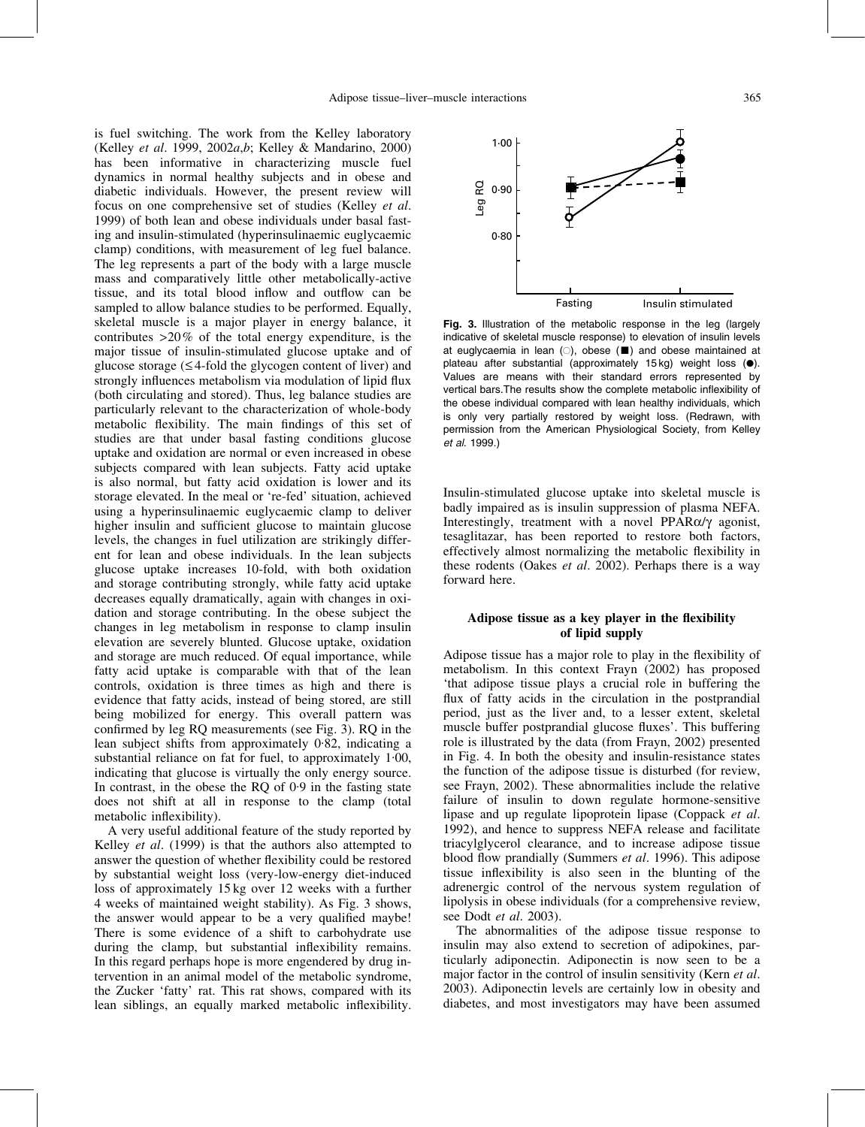is fuel switching. The work from the Kelley laboratory (Kelley et al. 1999, 2002a,b; Kelley & Mandarino, 2000) has been informative in characterizing muscle fuel dynamics in normal healthy subjects and in obese and diabetic individuals. However, the present review will focus on one comprehensive set of studies (Kelley et al. 1999) of both lean and obese individuals under basal fasting and insulin-stimulated (hyperinsulinaemic euglycaemic clamp) conditions, with measurement of leg fuel balance. The leg represents a part of the body with a large muscle mass and comparatively little other metabolically-active tissue, and its total blood inflow and outflow can be sampled to allow balance studies to be performed. Equally, skeletal muscle is a major player in energy balance, it contributes >20% of the total energy expenditure, is the major tissue of insulin-stimulated glucose uptake and of glucose storage  $( \leq 4$ -fold the glycogen content of liver) and strongly influences metabolism via modulation of lipid flux (both circulating and stored). Thus, leg balance studies are particularly relevant to the characterization of whole-body metabolic flexibility. The main findings of this set of studies are that under basal fasting conditions glucose uptake and oxidation are normal or even increased in obese subjects compared with lean subjects. Fatty acid uptake is also normal, but fatty acid oxidation is lower and its storage elevated. In the meal or 're-fed' situation, achieved using a hyperinsulinaemic euglycaemic clamp to deliver higher insulin and sufficient glucose to maintain glucose levels, the changes in fuel utilization are strikingly different for lean and obese individuals. In the lean subjects glucose uptake increases 10-fold, with both oxidation and storage contributing strongly, while fatty acid uptake decreases equally dramatically, again with changes in oxidation and storage contributing. In the obese subject the changes in leg metabolism in response to clamp insulin elevation are severely blunted. Glucose uptake, oxidation and storage are much reduced. Of equal importance, while fatty acid uptake is comparable with that of the lean controls, oxidation is three times as high and there is evidence that fatty acids, instead of being stored, are still being mobilized for energy. This overall pattern was confirmed by leg RQ measurements (see Fig. 3). RQ in the lean subject shifts from approximately 0. 82, indicating a substantial reliance on fat for fuel, to approximately  $1\overline{00}$ , indicating that glucose is virtually the only energy source. In contrast, in the obese the RQ of 0.9 in the fasting state does not shift at all in response to the clamp (total metabolic inflexibility).

A very useful additional feature of the study reported by Kelley et al. (1999) is that the authors also attempted to answer the question of whether flexibility could be restored by substantial weight loss (very-low-energy diet-induced loss of approximately 15 kg over 12 weeks with a further 4 weeks of maintained weight stability). As Fig. 3 shows, the answer would appear to be a very qualified maybe! There is some evidence of a shift to carbohydrate use during the clamp, but substantial inflexibility remains. In this regard perhaps hope is more engendered by drug intervention in an animal model of the metabolic syndrome, the Zucker 'fatty' rat. This rat shows, compared with its lean siblings, an equally marked metabolic inflexibility.



Fig. 3. Illustration of the metabolic response in the leg (largely indicative of skeletal muscle response) to elevation of insulin levels at euglycaemia in lean (?), obese (*&*) and obese maintained at plateau after substantial (approximately 15 kg) weight loss  $(\bullet)$ . Values are means with their standard errors represented by vertical bars.The results show the complete metabolic inflexibility of the obese individual compared with lean healthy individuals, which is only very partially restored by weight loss. (Redrawn, with permission from the American Physiological Society, from Kelley et al. 1999.)

Insulin-stimulated glucose uptake into skeletal muscle is badly impaired as is insulin suppression of plasma NEFA. Interestingly, treatment with a novel  $PPAR\alpha/\gamma$  agonist, tesaglitazar, has been reported to restore both factors, effectively almost normalizing the metabolic flexibility in these rodents (Oakes et al. 2002). Perhaps there is a way forward here.

### Adipose tissue as a key player in the flexibility of lipid supply

Adipose tissue has a major role to play in the flexibility of metabolism. In this context Frayn (2002) has proposed 'that adipose tissue plays a crucial role in buffering the flux of fatty acids in the circulation in the postprandial period, just as the liver and, to a lesser extent, skeletal muscle buffer postprandial glucose fluxes'. This buffering role is illustrated by the data (from Frayn, 2002) presented in Fig. 4. In both the obesity and insulin-resistance states the function of the adipose tissue is disturbed (for review, see Frayn, 2002). These abnormalities include the relative failure of insulin to down regulate hormone-sensitive lipase and up regulate lipoprotein lipase (Coppack et al. 1992), and hence to suppress NEFA release and facilitate triacylglycerol clearance, and to increase adipose tissue blood flow prandially (Summers et al. 1996). This adipose tissue inflexibility is also seen in the blunting of the adrenergic control of the nervous system regulation of lipolysis in obese individuals (for a comprehensive review, see Dodt et al. 2003). **Example 12**<br> **Example 12**<br> **Example 12**<br> **Example 12**<br> **Example 12**<br> **Example 12**<br> **Example 12**<br> **Example 12**<br> **Example 12**<br> **Example 12**<br> **Example 12**<br> **Example 12**<br> **Example 12**<br> **Example 12**<br> **Example 12**<br> **Example 12** 

The abnormalities of the adipose tissue response to insulin may also extend to secretion of adipokines, particularly adiponectin. Adiponectin is now seen to be a major factor in the control of insulin sensitivity (Kern et al. 2003). Adiponectin levels are certainly low in obesity and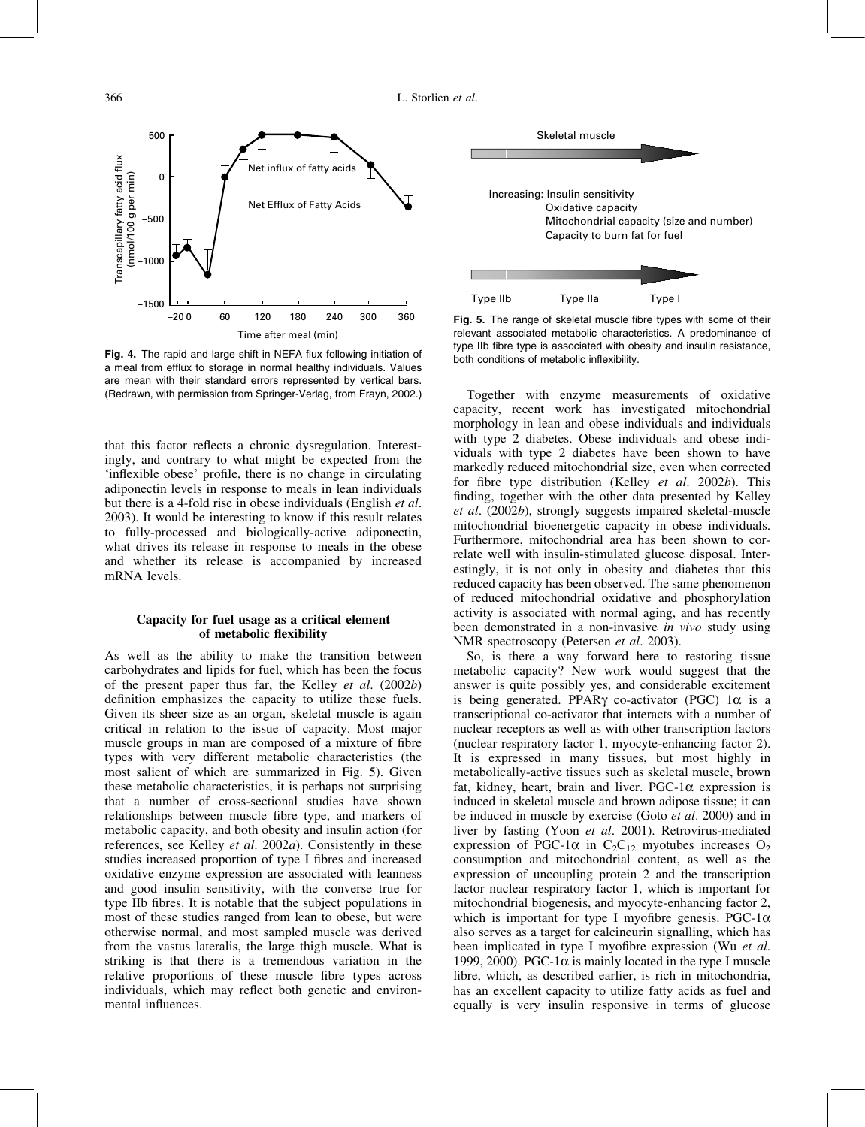366 L. Storlien et al.



Fig. 4. The rapid and large shift in NEFA flux following initiation of a meal from efflux to storage in normal healthy individuals. Values are mean with their standard errors represented by vertical bars. (Redrawn, with permission from Springer-Verlag, from Frayn, 2002.)

that this factor reflects a chronic dysregulation. Interestingly, and contrary to what might be expected from the 'inflexible obese' profile, there is no change in circulating adiponectin levels in response to meals in lean individuals but there is a 4-fold rise in obese individuals (English et al. 2003). It would be interesting to know if this result relates to fully-processed and biologically-active adiponectin, what drives its release in response to meals in the obese and whether its release is accompanied by increased mRNA levels.

## Capacity for fuel usage as a critical element of metabolic flexibility

As well as the ability to make the transition between carbohydrates and lipids for fuel, which has been the focus of the present paper thus far, the Kelley et al. (2002b) definition emphasizes the capacity to utilize these fuels. Given its sheer size as an organ, skeletal muscle is again critical in relation to the issue of capacity. Most major muscle groups in man are composed of a mixture of fibre types with very different metabolic characteristics (the most salient of which are summarized in Fig. 5). Given these metabolic characteristics, it is perhaps not surprising that a number of cross-sectional studies have shown relationships between muscle fibre type, and markers of metabolic capacity, and both obesity and insulin action (for references, see Kelley et al. 2002a). Consistently in these studies increased proportion of type I fibres and increased oxidative enzyme expression are associated with leanness and good insulin sensitivity, with the converse true for type IIb fibres. It is notable that the subject populations in most of these studies ranged from lean to obese, but were otherwise normal, and most sampled muscle was derived from the vastus lateralis, the large thigh muscle. What is striking is that there is a tremendous variation in the relative proportions of these muscle fibre types across individuals, which may reflect both genetic and environmental influences.



Fig. 5. The range of skeletal muscle fibre types with some of their relevant associated metabolic characteristics. A predominance of type IIb fibre type is associated with obesity and insulin resistance, both conditions of metabolic inflexibility.

Together with enzyme measurements of oxidative capacity, recent work has investigated mitochondrial morphology in lean and obese individuals and individuals with type 2 diabetes. Obese individuals and obese individuals with type 2 diabetes have been shown to have markedly reduced mitochondrial size, even when corrected for fibre type distribution (Kelley et al. 2002b). This finding, together with the other data presented by Kelley et al. (2002b), strongly suggests impaired skeletal-muscle mitochondrial bioenergetic capacity in obese individuals. Furthermore, mitochondrial area has been shown to correlate well with insulin-stimulated glucose disposal. Interestingly, it is not only in obesity and diabetes that this reduced capacity has been observed. The same phenomenon of reduced mitochondrial oxidative and phosphorylation activity is associated with normal aging, and has recently been demonstrated in a non-invasive in vivo study using NMR spectroscopy (Petersen et al. 2003).

So, is there a way forward here to restoring tissue metabolic capacity? New work would suggest that the answer is quite possibly yes, and considerable excitement is being generated. PPAR $\gamma$  co-activator (PGC) 1 $\alpha$  is a transcriptional co-activator that interacts with a number of nuclear receptors as well as with other transcription factors (nuclear respiratory factor 1, myocyte-enhancing factor 2). It is expressed in many tissues, but most highly in metabolically-active tissues such as skeletal muscle, brown fat, kidney, heart, brain and liver. PGC-1 $\alpha$  expression is induced in skeletal muscle and brown adipose tissue; it can be induced in muscle by exercise (Goto et al. 2000) and in liver by fasting (Yoon et al. 2001). Retrovirus-mediated expression of PGC-1 $\alpha$  in C<sub>2</sub>C<sub>12</sub> myotubes increases O<sub>2</sub> consumption and mitochondrial content, as well as the expression of uncoupling protein 2 and the transcription factor nuclear respiratory factor 1, which is important for mitochondrial biogenesis, and myocyte-enhancing factor 2, which is important for type I myofibre genesis. PGC-1 $\alpha$ also serves as a target for calcineurin signalling, which has been implicated in type I myofibre expression (Wu et al. 1999, 2000). PGC-1 $\alpha$  is mainly located in the type I muscle fibre, which, as described earlier, is rich in mitochondria, has an excellent capacity to utilize fatty acids as fuel and equally is very insulin responsive in terms of glucose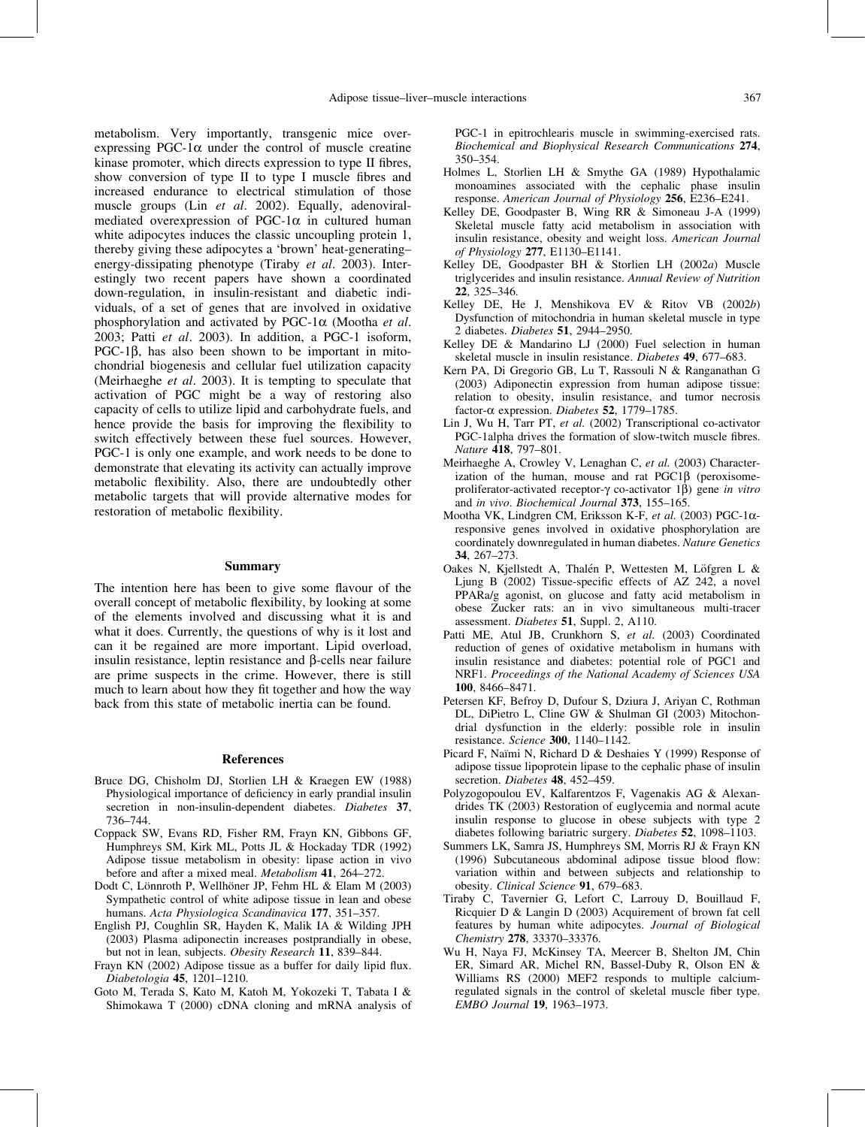metabolism. Very importantly, transgenic mice overexpressing PGC-1 $\alpha$  under the control of muscle creatine kinase promoter, which directs expression to type II fibres, show conversion of type II to type I muscle fibres and increased endurance to electrical stimulation of those muscle groups (Lin et al. 2002). Equally, adenoviralmediated overexpression of  $PGC-1\alpha$  in cultured human white adipocytes induces the classic uncoupling protein 1, thereby giving these adipocytes a 'brown' heat-generating– energy-dissipating phenotype (Tiraby et al. 2003). Interestingly two recent papers have shown a coordinated down-regulation, in insulin-resistant and diabetic individuals, of a set of genes that are involved in oxidative phosphorylation and activated by PGC-1 $\alpha$  (Mootha *et al.* 2003; Patti et al. 2003). In addition, a PGC-1 isoform,  $PGC-1\beta$ , has also been shown to be important in mitochondrial biogenesis and cellular fuel utilization capacity (Meirhaeghe et al. 2003). It is tempting to speculate that activation of PGC might be a way of restoring also capacity of cells to utilize lipid and carbohydrate fuels, and hence provide the basis for improving the flexibility to switch effectively between these fuel sources. However, PGC-1 is only one example, and work needs to be done to demonstrate that elevating its activity can actually improve metabolic flexibility. Also, there are undoubtedly other metabolic targets that will provide alternative modes for restoration of metabolic flexibility.

#### Summary

The intention here has been to give some flavour of the overall concept of metabolic flexibility, by looking at some of the elements involved and discussing what it is and what it does. Currently, the questions of why is it lost and can it be regained are more important. Lipid overload, insulin resistance, leptin resistance and  $\beta$ -cells near failure are prime suspects in the crime. However, there is still much to learn about how they fit together and how the way back from this state of metabolic inertia can be found.

### References

- Bruce DG, Chisholm DJ, Storlien LH & Kraegen EW (1988) Physiological importance of deficiency in early prandial insulin secretion in non-insulin-dependent diabetes. Diabetes 37, 736–744.
- Coppack SW, Evans RD, Fisher RM, Frayn KN, Gibbons GF, Humphreys SM, Kirk ML, Potts JL & Hockaday TDR (1992) Adipose tissue metabolism in obesity: lipase action in vivo before and after a mixed meal. Metabolism 41, 264–272.
- Dodt C, Lönnroth P, Wellhöner JP, Fehm HL & Elam M (2003) Sympathetic control of white adipose tissue in lean and obese humans. Acta Physiologica Scandinavica 177, 351–357.
- English PJ, Coughlin SR, Hayden K, Malik IA & Wilding JPH (2003) Plasma adiponectin increases postprandially in obese, but not in lean, subjects. Obesity Research 11, 839–844.
- Frayn KN (2002) Adipose tissue as a buffer for daily lipid flux. Diabetologia 45, 1201–1210.
- Goto M, Terada S, Kato M, Katoh M, Yokozeki T, Tabata I & Shimokawa T (2000) cDNA cloning and mRNA analysis of

PGC-1 in epitrochlearis muscle in swimming-exercised rats. Biochemical and Biophysical Research Communications 274, 350–354.

- Holmes L, Storlien LH & Smythe GA (1989) Hypothalamic monoamines associated with the cephalic phase insulin response. American Journal of Physiology 256, E236–E241.
- Kelley DE, Goodpaster B, Wing RR & Simoneau J-A (1999) Skeletal muscle fatty acid metabolism in association with insulin resistance, obesity and weight loss. American Journal of Physiology 277, E1130–E1141.
- Kelley DE, Goodpaster BH & Storlien LH (2002a) Muscle triglycerides and insulin resistance. Annual Review of Nutrition 22, 325–346.
- Kelley DE, He J, Menshikova EV & Ritov VB (2002b) Dysfunction of mitochondria in human skeletal muscle in type 2 diabetes. Diabetes 51, 2944–2950.
- Kelley DE & Mandarino LJ (2000) Fuel selection in human skeletal muscle in insulin resistance. Diabetes 49, 677–683.
- Kern PA, Di Gregorio GB, Lu T, Rassouli N & Ranganathan G (2003) Adiponectin expression from human adipose tissue: relation to obesity, insulin resistance, and tumor necrosis factor- $\alpha$  expression. Diabetes 52, 1779–1785.
- Lin J, Wu H, Tarr PT, et al. (2002) Transcriptional co-activator PGC-1alpha drives the formation of slow-twitch muscle fibres. Nature 418, 797–801.
- Meirhaeghe A, Crowley V, Lenaghan C, et al. (2003) Characterization of the human, mouse and rat  $PGC1\beta$  (peroxisomeproliferator-activated receptor- $\gamma$  co-activator 1 $\beta$ ) gene in vitro and in vivo. Biochemical Journal 373, 155–165.
- Mootha VK, Lindgren CM, Eriksson K-F, et al. (2003) PGC-1aresponsive genes involved in oxidative phosphorylation are coordinately downregulated in human diabetes. Nature Genetics 34, 267–273.
- Oakes N, Kjellstedt A, Thalén P, Wettesten M, Löfgren L & Ljung B (2002) Tissue-specific effects of AZ 242, a novel PPARa/g agonist, on glucose and fatty acid metabolism in obese Zucker rats: an in vivo simultaneous multi-tracer assessment. Diabetes 51, Suppl. 2, A110.
- Patti ME, Atul JB, Crunkhorn S, et al. (2003) Coordinated reduction of genes of oxidative metabolism in humans with insulin resistance and diabetes: potential role of PGC1 and NRF1. Proceedings of the National Academy of Sciences USA 100, 8466–8471.
- Petersen KF, Befroy D, Dufour S, Dziura J, Ariyan C, Rothman DL, DiPietro L, Cline GW & Shulman GI (2003) Mitochondrial dysfunction in the elderly: possible role in insulin resistance. Science 300, 1140–1142.
- Picard F, Naïmi N, Richard D & Deshaies Y (1999) Response of adipose tissue lipoprotein lipase to the cephalic phase of insulin secretion. Diabetes 48, 452-459.
- Polyzogopoulou EV, Kalfarentzos F, Vagenakis AG & Alexandrides TK (2003) Restoration of euglycemia and normal acute insulin response to glucose in obese subjects with type 2 diabetes following bariatric surgery. Diabetes 52, 1098–1103.
- Summers LK, Samra JS, Humphreys SM, Morris RJ & Frayn KN (1996) Subcutaneous abdominal adipose tissue blood flow: variation within and between subjects and relationship to obesity. Clinical Science 91, 679–683.
- Tiraby C, Tavernier G, Lefort C, Larrouy D, Bouillaud F, Ricquier D & Langin D (2003) Acquirement of brown fat cell features by human white adipocytes. Journal of Biological Chemistry 278, 33370–33376.
- Wu H, Naya FJ, McKinsey TA, Meercer B, Shelton JM, Chin ER, Simard AR, Michel RN, Bassel-Duby R, Olson EN & Williams RS (2000) MEF2 responds to multiple calciumregulated signals in the control of skeletal muscle fiber type. EMBO Journal 19, 1963–1973.